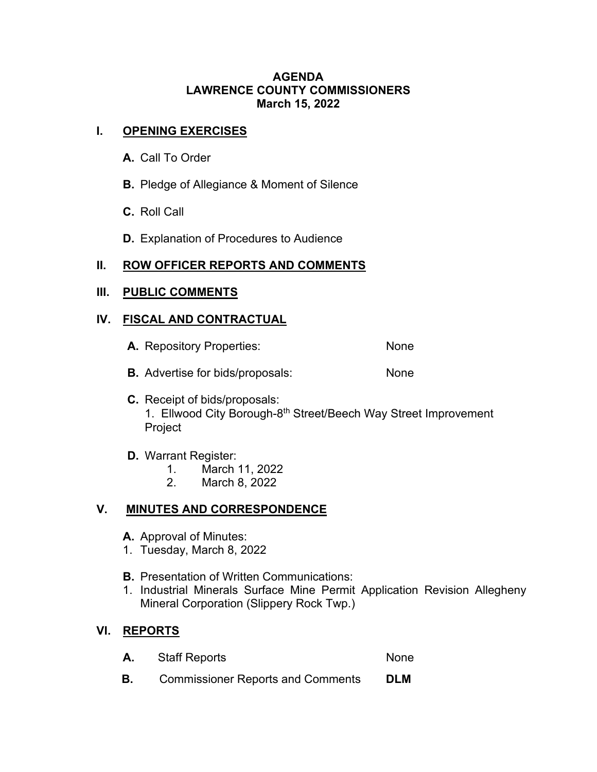#### **AGENDA LAWRENCE COUNTY COMMISSIONERS March 15, 2022**

## **I. OPENING EXERCISES**

- **A.** Call To Order
- **B.** Pledge of Allegiance & Moment of Silence
- **C.** Roll Call
- **D.** Explanation of Procedures to Audience

## **II. ROW OFFICER REPORTS AND COMMENTS**

#### **III. PUBLIC COMMENTS**

#### **IV. FISCAL AND CONTRACTUAL**

- **A.** Repository Properties: None
- **B.** Advertise for bids/proposals: None
- **C.** Receipt of bids/proposals: 1. Ellwood City Borough-8<sup>th</sup> Street/Beech Way Street Improvement Project
- **D.** Warrant Register:
	- 1. March 11, 2022
	- 2. March 8, 2022

# **V. MINUTES AND CORRESPONDENCE**

- **A.** Approval of Minutes:
- 1. Tuesday, March 8, 2022
- **B.** Presentation of Written Communications:
- 1. Industrial Minerals Surface Mine Permit Application Revision Allegheny Mineral Corporation (Slippery Rock Twp.)

# **VI. REPORTS**

- A. Staff Reports None
- **B.** Commissioner Reports and Comments **DLM**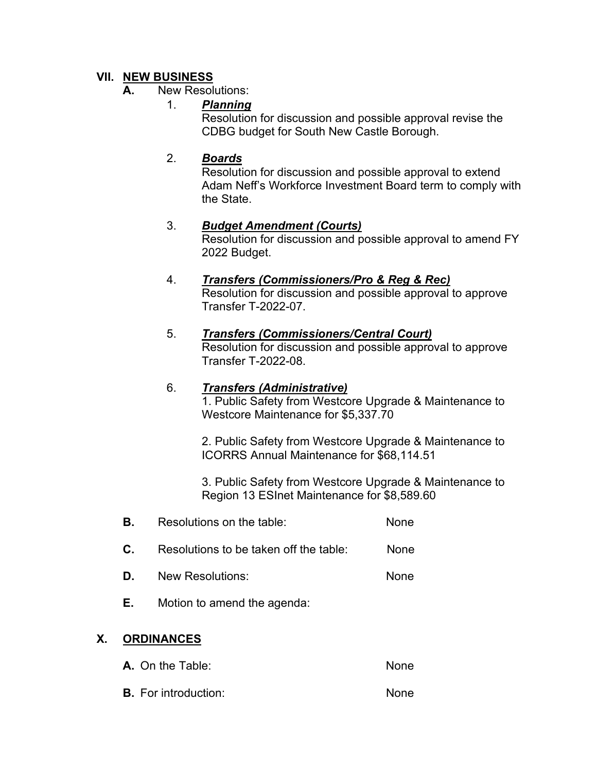# **VII. NEW BUSINESS**

#### **A.** New Resolutions:

#### 1. *Planning*

Resolution for discussion and possible approval revise the CDBG budget for South New Castle Borough.

### 2. *Boards*

Resolution for discussion and possible approval to extend Adam Neff's Workforce Investment Board term to comply with the State.

#### 3. *Budget Amendment (Courts)*

Resolution for discussion and possible approval to amend FY 2022 Budget.

#### 4. *Transfers (Commissioners/Pro & Reg & Rec)* Resolution for discussion and possible approval to approve Transfer T-2022-07.

## 5. *Transfers (Commissioners/Central Court)*

Resolution for discussion and possible approval to approve Transfer T-2022-08.

#### 6. *Transfers (Administrative)*

1. Public Safety from Westcore Upgrade & Maintenance to Westcore Maintenance for \$5,337.70

2. Public Safety from Westcore Upgrade & Maintenance to ICORRS Annual Maintenance for \$68,114.51

3. Public Safety from Westcore Upgrade & Maintenance to Region 13 ESInet Maintenance for \$8,589.60

- **B.** Resolutions on the table: None
- **C.** Resolutions to be taken off the table: None
- **D.** New Resolutions: None
- **E.** Motion to amend the agenda:

# **X. ORDINANCES**

- **A.** On the Table: None
- **B.** For introduction: None